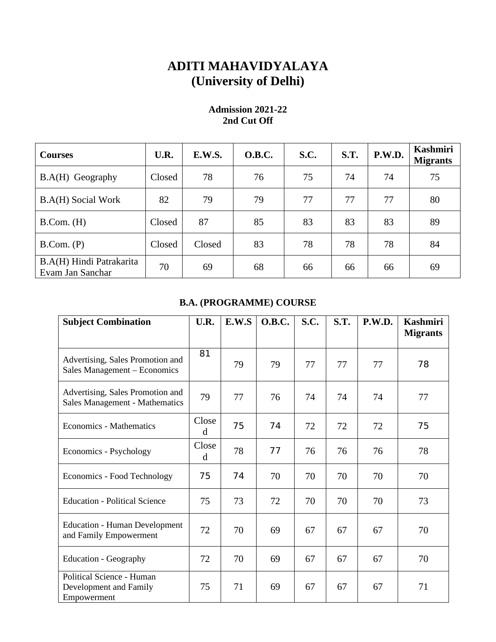## **ADITI MAHAVIDYALAYA (University of Delhi)**

| <b>Courses</b>                               | U.R.   | E.W.S. | <b>O.B.C.</b> | S.C. | <b>S.T.</b> | P.W.D. | <b>Kashmiri</b><br><b>Migrants</b> |
|----------------------------------------------|--------|--------|---------------|------|-------------|--------|------------------------------------|
| B.A(H) Geography                             | Closed | 78     | 76            | 75   | 74          | 74     | 75                                 |
| B.A(H) Social Work                           | 82     | 79     | 79            | 77   | 77          | 77     | 80                                 |
| B. Com. (H)                                  | Closed | 87     | 85            | 83   | 83          | 83     | 89                                 |
| B. Com. (P)                                  | Closed | Closed | 83            | 78   | 78          | 78     | 84                                 |
| B.A(H) Hindi Patrakarita<br>Evam Jan Sanchar | 70     | 69     | 68            | 66   | 66          | 66     | 69                                 |

## **Admission 2021-22 2nd Cut Off**

## **B.A. (PROGRAMME) COURSE**

| <b>Subject Combination</b>                                         | U.R.                 | E.W.S | O.B.C. | S.C. | S.T. | P.W.D. | <b>Kashmiri</b><br><b>Migrants</b> |
|--------------------------------------------------------------------|----------------------|-------|--------|------|------|--------|------------------------------------|
| Advertising, Sales Promotion and<br>Sales Management - Economics   | 81                   | 79    | 79     | 77   | 77   | 77     | 78                                 |
| Advertising, Sales Promotion and<br>Sales Management - Mathematics | 79                   | 77    | 76     | 74   | 74   | 74     | 77                                 |
| <b>Economics - Mathematics</b>                                     | Close<br>$\mathbf d$ | 75    | 74     | 72   | 72   | 72     | 75                                 |
| Economics - Psychology                                             | Close<br>d           | 78    | 77     | 76   | 76   | 76     | 78                                 |
| <b>Economics - Food Technology</b>                                 | 75                   | 74    | 70     | 70   | 70   | 70     | 70                                 |
| <b>Education - Political Science</b>                               | 75                   | 73    | 72     | 70   | 70   | 70     | 73                                 |
| <b>Education - Human Development</b><br>and Family Empowerment     | 72                   | 70    | 69     | 67   | 67   | 67     | 70                                 |
| <b>Education - Geography</b>                                       | 72                   | 70    | 69     | 67   | 67   | 67     | 70                                 |
| Political Science - Human<br>Development and Family<br>Empowerment | 75                   | 71    | 69     | 67   | 67   | 67     | 71                                 |